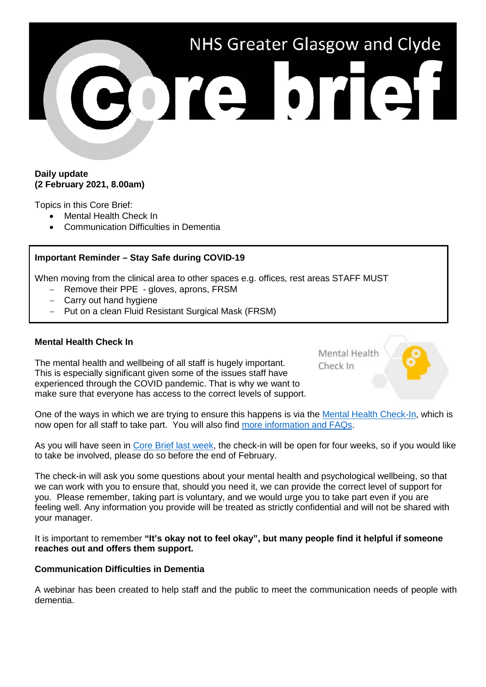

## **Daily update (2 February 2021, 8.00am)**

Topics in this Core Brief:

- Mental Health Check In
- Communication Difficulties in Dementia

## **Important Reminder – Stay Safe during COVID-19**

When moving from the clinical area to other spaces e.g. offices, rest areas STAFF MUST

- Remove their PPE gloves, aprons, FRSM
- − Carry out hand hygiene
- − Put on a clean Fluid Resistant Surgical Mask (FRSM)

## **Mental Health Check In**

The mental health and wellbeing of all staff is hugely important. This is especially significant given some of the issues staff have experienced through the COVID pandemic. That is why we want to make sure that everyone has access to the correct levels of support. Mental Health Check In

One of the ways in which we are trying to ensure this happens is via the [Mental Health Check-In,](https://www.nhsggc.org.uk/about-us/professional-support-sites/mental-health-check-in/survey/) which is now open for all staff to take part. You will also find [more information and FAQs.](https://www.nhsggc.org.uk/about-us/professional-support-sites/mental-health-check-in/survey/)

As you will have seen in [Core Brief last week,](https://www.nhsggc.org.uk/media/264815/017-core-brief-27-january-2021-daily-update-610pm.pdf) the check-in will be open for four weeks, so if you would like to take be involved, please do so before the end of February.

The check-in will ask you some questions about your mental health and psychological wellbeing, so that we can work with you to ensure that, should you need it, we can provide the correct level of support for you. Please remember, taking part is voluntary, and we would urge you to take part even if you are feeling well. Any information you provide will be treated as strictly confidential and will not be shared with your manager.

It is important to remember **"It's okay not to feel okay", but many people find it helpful if someone reaches out and offers them support.**

## **Communication Difficulties in Dementia**

A webinar has been created to help staff and the public to meet the communication needs of people with dementia.